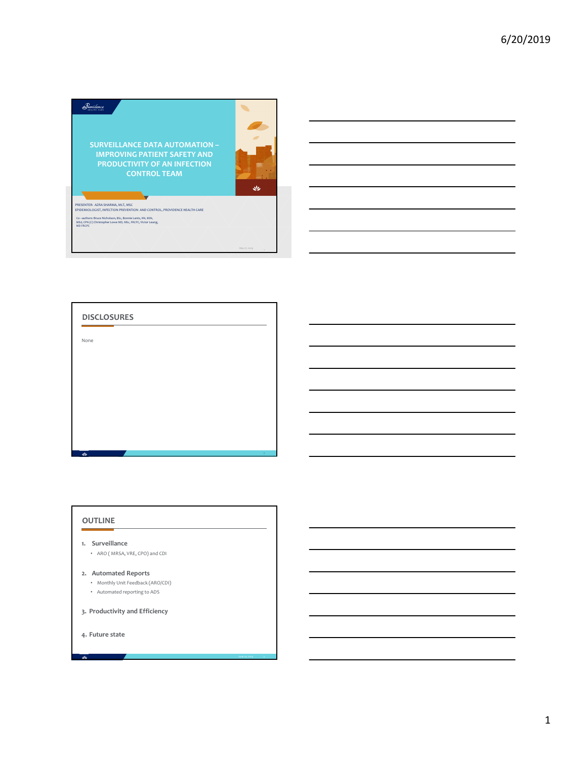





**3. Productivity and Efficiency**

**4. Future state**

 $\overline{\mathcal{M}}$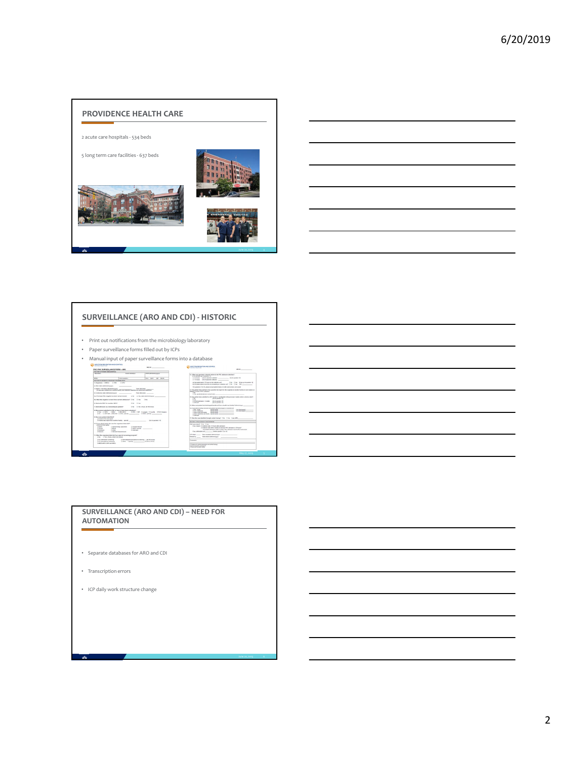



# **SURVEILLANCE (ARO AND CDI) ‐ HISTORIC**

- Print out notifications from the microbiology laboratory
- Paper surveillance forms filled out by ICPs
- Manual input of paper surveillance forms into a database<br>  $\frac{1}{\sqrt{1-\frac{1}{1-\frac{1}{1-\frac{1}{1-\frac{1}{1-\frac{1}{1-\frac{1}{1-\frac{1}{1-\frac{1}{1-\frac{1}{1-\frac{1}{1-\frac{1}{1-\frac{1}{1-\frac{1}{1-\frac{1}{1-\frac{1}{1-\frac{1}{1-\frac{1}{1-\frac{1}{1-\frac{1}{1-\frac{1}{1-\frac{1}{1-\frac{1}{1-\frac{1}{1-\frac{1}{1-\frac{1}{1-\frac$

# 7. Alexandroven av a formadisigven politistič<br>1. Mari politistič artistič prima artističnica i svetlara († 1892. – 1892. – 1892. – 1892. – 1892. – 1892. – 1<br>1. Mari 1. Mari 1. († 1893. – 1893. – 1893. – 1893. – 1894. – 189 Her was prime denoted by  $\label{eq:3} \begin{minipage}[t]{. \begin{minipage}[t]{.3\linewidth} \textbf{0.1:} \begin{minipage}[t]{.3\linewidth} \textbf{0.1:} \begin{minipage}[t]{.3\linewidth} \textbf{0.1:} \begin{minipage}[t]{.3\linewidth} \textbf{0.1:} \begin{minipage}[t]{.3\linewidth} \textbf{0.1:} \begin{minipage}[t]{.3\linewidth} \textbf{0.1:} \begin{minipage}[t]{.3\linewidth} \textbf{0.1:} \begin{minipage}[t]{.3\linewidth} \textbf$

1. When then expansion derivated by a special screening program?<br>  $\begin{array}{rcl} 2.96 & \text{ 2.70 } \text{m} \text{ J} & \text{m} \text{J} & \text{m} \text{m} \text{J} & \text{m} \text{m} \text{J} & \text{m} \text{m} \text{J} & \text{m} \text{m} \text{J} & \text{m} \text{m} \text{J} & \text{m} \text{m} \text{J} & \text{m} \text{J} \text{$ 



#### **SURVEILLANCE (ARO AND CDI) – NEED FOR AUTOMATION**

- Separate databases for ARO and CDI
- Transcription errors
- ICP daily work structure change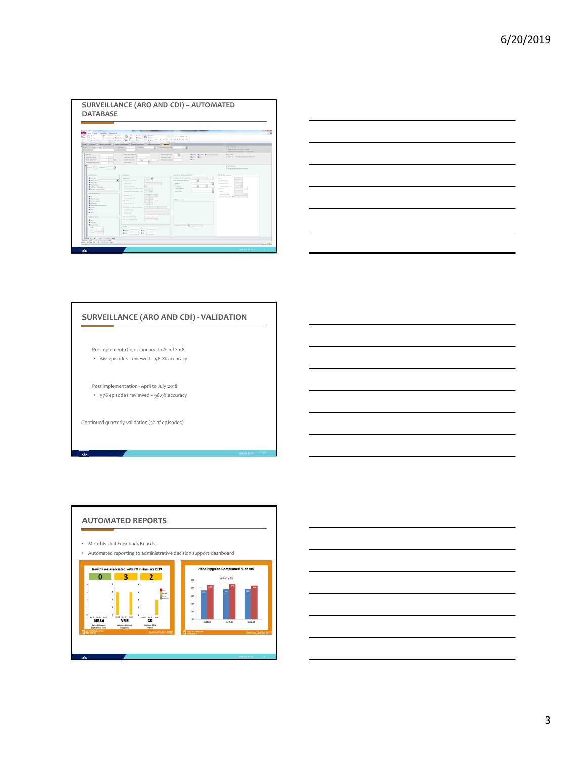



#### **SURVEILLANCE (ARO AND CDI) ‐ VALIDATION**

- Pre implementation ‐ January to April 2018 • 661 episodes reviewed – 96.2% accuracy
- Post implementation ‐ April to July 2018 • 578 episodes reviewed – 98.9% accuracy

Continued quarterly validation (5% of episodes)